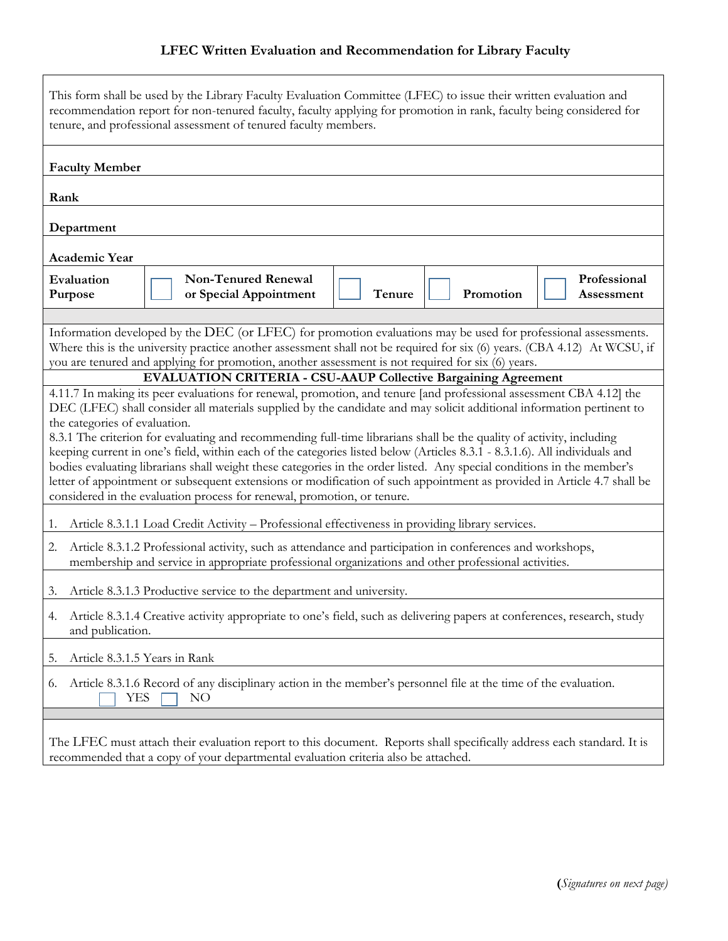## **LFEC Written Evaluation and Recommendation for Library Faculty**

| This form shall be used by the Library Faculty Evaluation Committee (LFEC) to issue their written evaluation and<br>recommendation report for non-tenured faculty, faculty applying for promotion in rank, faculty being considered for<br>tenure, and professional assessment of tenured faculty members.                                                                                                                                                                                                                                                                                                                                                                                                                                                                                                                                                                                                                                                                                                                                                                                |  |                                                      |        |  |           |                            |
|-------------------------------------------------------------------------------------------------------------------------------------------------------------------------------------------------------------------------------------------------------------------------------------------------------------------------------------------------------------------------------------------------------------------------------------------------------------------------------------------------------------------------------------------------------------------------------------------------------------------------------------------------------------------------------------------------------------------------------------------------------------------------------------------------------------------------------------------------------------------------------------------------------------------------------------------------------------------------------------------------------------------------------------------------------------------------------------------|--|------------------------------------------------------|--------|--|-----------|----------------------------|
| <b>Faculty Member</b>                                                                                                                                                                                                                                                                                                                                                                                                                                                                                                                                                                                                                                                                                                                                                                                                                                                                                                                                                                                                                                                                     |  |                                                      |        |  |           |                            |
| Rank                                                                                                                                                                                                                                                                                                                                                                                                                                                                                                                                                                                                                                                                                                                                                                                                                                                                                                                                                                                                                                                                                      |  |                                                      |        |  |           |                            |
| Department                                                                                                                                                                                                                                                                                                                                                                                                                                                                                                                                                                                                                                                                                                                                                                                                                                                                                                                                                                                                                                                                                |  |                                                      |        |  |           |                            |
| Academic Year                                                                                                                                                                                                                                                                                                                                                                                                                                                                                                                                                                                                                                                                                                                                                                                                                                                                                                                                                                                                                                                                             |  |                                                      |        |  |           |                            |
| Evaluation<br>Purpose                                                                                                                                                                                                                                                                                                                                                                                                                                                                                                                                                                                                                                                                                                                                                                                                                                                                                                                                                                                                                                                                     |  | <b>Non-Tenured Renewal</b><br>or Special Appointment | Tenure |  | Promotion | Professional<br>Assessment |
| Information developed by the DEC (or LFEC) for promotion evaluations may be used for professional assessments.<br>Where this is the university practice another assessment shall not be required for six (6) years. (CBA 4.12) At WCSU, if<br>you are tenured and applying for promotion, another assessment is not required for six (6) years.<br><b>EVALUATION CRITERIA - CSU-AAUP Collective Bargaining Agreement</b><br>4.11.7 In making its peer evaluations for renewal, promotion, and tenure [and professional assessment CBA 4.12] the<br>DEC (LFEC) shall consider all materials supplied by the candidate and may solicit additional information pertinent to<br>the categories of evaluation.<br>8.3.1 The criterion for evaluating and recommending full-time librarians shall be the quality of activity, including<br>keeping current in one's field, within each of the categories listed below (Articles 8.3.1 - 8.3.1.6). All individuals and<br>bodies evaluating librarians shall weight these categories in the order listed. Any special conditions in the member's |  |                                                      |        |  |           |                            |
| letter of appointment or subsequent extensions or modification of such appointment as provided in Article 4.7 shall be<br>considered in the evaluation process for renewal, promotion, or tenure.                                                                                                                                                                                                                                                                                                                                                                                                                                                                                                                                                                                                                                                                                                                                                                                                                                                                                         |  |                                                      |        |  |           |                            |
| Article 8.3.1.1 Load Credit Activity - Professional effectiveness in providing library services.<br>1.                                                                                                                                                                                                                                                                                                                                                                                                                                                                                                                                                                                                                                                                                                                                                                                                                                                                                                                                                                                    |  |                                                      |        |  |           |                            |
| Article 8.3.1.2 Professional activity, such as attendance and participation in conferences and workshops,<br>2.<br>membership and service in appropriate professional organizations and other professional activities.                                                                                                                                                                                                                                                                                                                                                                                                                                                                                                                                                                                                                                                                                                                                                                                                                                                                    |  |                                                      |        |  |           |                            |
| Article 8.3.1.3 Productive service to the department and university.<br>3.                                                                                                                                                                                                                                                                                                                                                                                                                                                                                                                                                                                                                                                                                                                                                                                                                                                                                                                                                                                                                |  |                                                      |        |  |           |                            |
| Article 8.3.1.4 Creative activity appropriate to one's field, such as delivering papers at conferences, research, study<br>4.<br>and publication.                                                                                                                                                                                                                                                                                                                                                                                                                                                                                                                                                                                                                                                                                                                                                                                                                                                                                                                                         |  |                                                      |        |  |           |                            |
| Article 8.3.1.5 Years in Rank<br>5.                                                                                                                                                                                                                                                                                                                                                                                                                                                                                                                                                                                                                                                                                                                                                                                                                                                                                                                                                                                                                                                       |  |                                                      |        |  |           |                            |
| Article 8.3.1.6 Record of any disciplinary action in the member's personnel file at the time of the evaluation.<br>6.<br>YES<br>NO                                                                                                                                                                                                                                                                                                                                                                                                                                                                                                                                                                                                                                                                                                                                                                                                                                                                                                                                                        |  |                                                      |        |  |           |                            |
| The LFEC must attach their evaluation report to this document. Reports shall specifically address each standard. It is<br>recommended that a copy of your departmental evaluation criteria also be attached.                                                                                                                                                                                                                                                                                                                                                                                                                                                                                                                                                                                                                                                                                                                                                                                                                                                                              |  |                                                      |        |  |           |                            |